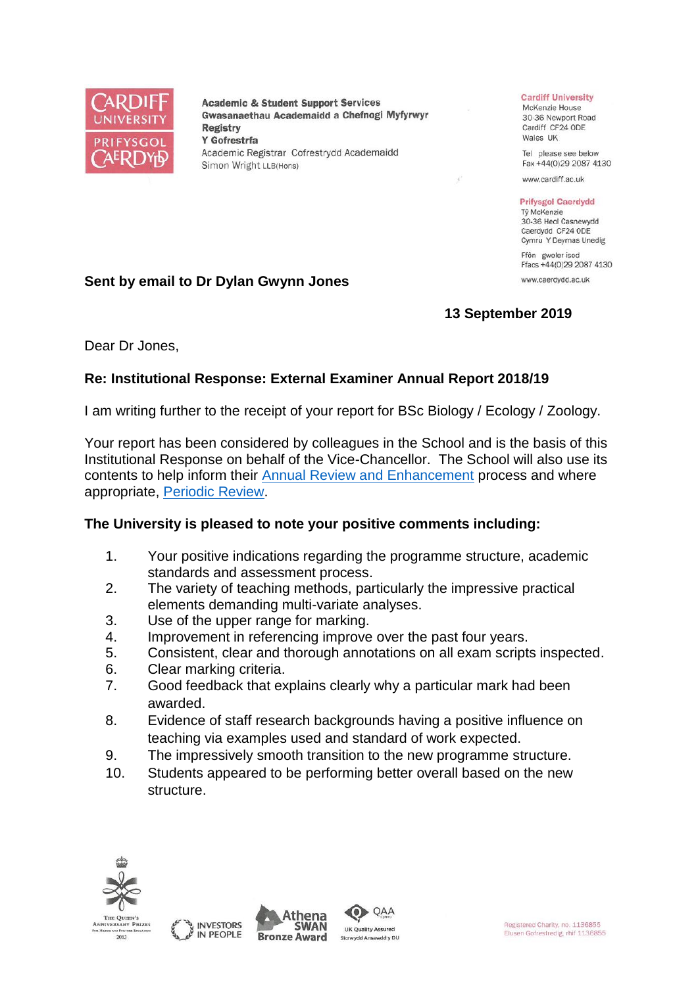

**Academic & Student Support Services** Gwasanaethau Academaidd a Chefnogi Myfyrwyr **Registry** Y Gofrestrfa Academic Registrar Cofrestrydd Academaidd Simon Wright LLB(Hons)

#### **Cardiff University**

McKenzie House 30-36 Newport Road Cardiff CF24 ODE Wales UK

Tel please see below Fax +44(0)29 2087 4130

www.cardiff.ac.uk

#### **Prifysgol Caerdydd** Tỷ McKenzie

30-36 Heol Casnewydd Caerdydd CF24 ODE Cymru Y Deyrnas Unedig

Ffôn gweler isod Ffacs +44(0)29 2087 4130 www.caerdydd.ac.uk

# **13 September 2019**

Dear Dr Jones,

# **Re: Institutional Response: External Examiner Annual Report 2018/19**

I am writing further to the receipt of your report for BSc Biology / Ecology / Zoology.

Your report has been considered by colleagues in the School and is the basis of this Institutional Response on behalf of the Vice-Chancellor. The School will also use its contents to help inform their [Annual Review and Enhancement](https://www.cardiff.ac.uk/public-information/quality-and-standards/monitoring-and-review/annual-review-and-enhancement) process and where appropriate, [Periodic Review.](http://www.cardiff.ac.uk/public-information/quality-and-standards/monitoring-and-review/periodic-review)

# **The University is pleased to note your positive comments including:**

- 1. Your positive indications regarding the programme structure, academic standards and assessment process.
- 2. The variety of teaching methods, particularly the impressive practical elements demanding multi-variate analyses.
- 3. Use of the upper range for marking.

**Sent by email to Dr Dylan Gwynn Jones**

- 4. Improvement in referencing improve over the past four years.
- 5. Consistent, clear and thorough annotations on all exam scripts inspected.
- 6. Clear marking criteria.
- 7. Good feedback that explains clearly why a particular mark had been awarded.
- 8. Evidence of staff research backgrounds having a positive influence on teaching via examples used and standard of work expected.
- 9. The impressively smooth transition to the new programme structure.
- 10. Students appeared to be performing better overall based on the new structure.







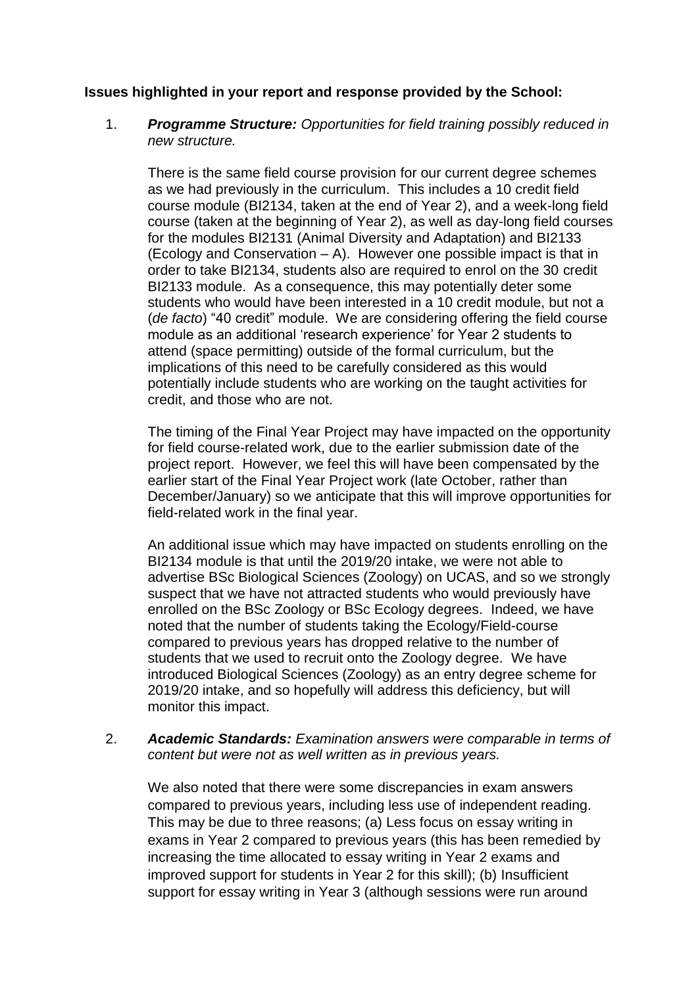#### **Issues highlighted in your report and response provided by the School:**

## 1. *Programme Structure: Opportunities for field training possibly reduced in new structure.*

There is the same field course provision for our current degree schemes as we had previously in the curriculum. This includes a 10 credit field course module (BI2134, taken at the end of Year 2), and a week-long field course (taken at the beginning of Year 2), as well as day-long field courses for the modules BI2131 (Animal Diversity and Adaptation) and BI2133 (Ecology and Conservation – A). However one possible impact is that in order to take BI2134, students also are required to enrol on the 30 credit BI2133 module. As a consequence, this may potentially deter some students who would have been interested in a 10 credit module, but not a (*de facto*) "40 credit" module. We are considering offering the field course module as an additional 'research experience' for Year 2 students to attend (space permitting) outside of the formal curriculum, but the implications of this need to be carefully considered as this would potentially include students who are working on the taught activities for credit, and those who are not.

The timing of the Final Year Project may have impacted on the opportunity for field course-related work, due to the earlier submission date of the project report. However, we feel this will have been compensated by the earlier start of the Final Year Project work (late October, rather than December/January) so we anticipate that this will improve opportunities for field-related work in the final year.

An additional issue which may have impacted on students enrolling on the BI2134 module is that until the 2019/20 intake, we were not able to advertise BSc Biological Sciences (Zoology) on UCAS, and so we strongly suspect that we have not attracted students who would previously have enrolled on the BSc Zoology or BSc Ecology degrees. Indeed, we have noted that the number of students taking the Ecology/Field-course compared to previous years has dropped relative to the number of students that we used to recruit onto the Zoology degree. We have introduced Biological Sciences (Zoology) as an entry degree scheme for 2019/20 intake, and so hopefully will address this deficiency, but will monitor this impact.

#### 2. *Academic Standards: Examination answers were comparable in terms of content but were not as well written as in previous years.*

We also noted that there were some discrepancies in exam answers compared to previous years, including less use of independent reading. This may be due to three reasons; (a) Less focus on essay writing in exams in Year 2 compared to previous years (this has been remedied by increasing the time allocated to essay writing in Year 2 exams and improved support for students in Year 2 for this skill); (b) Insufficient support for essay writing in Year 3 (although sessions were run around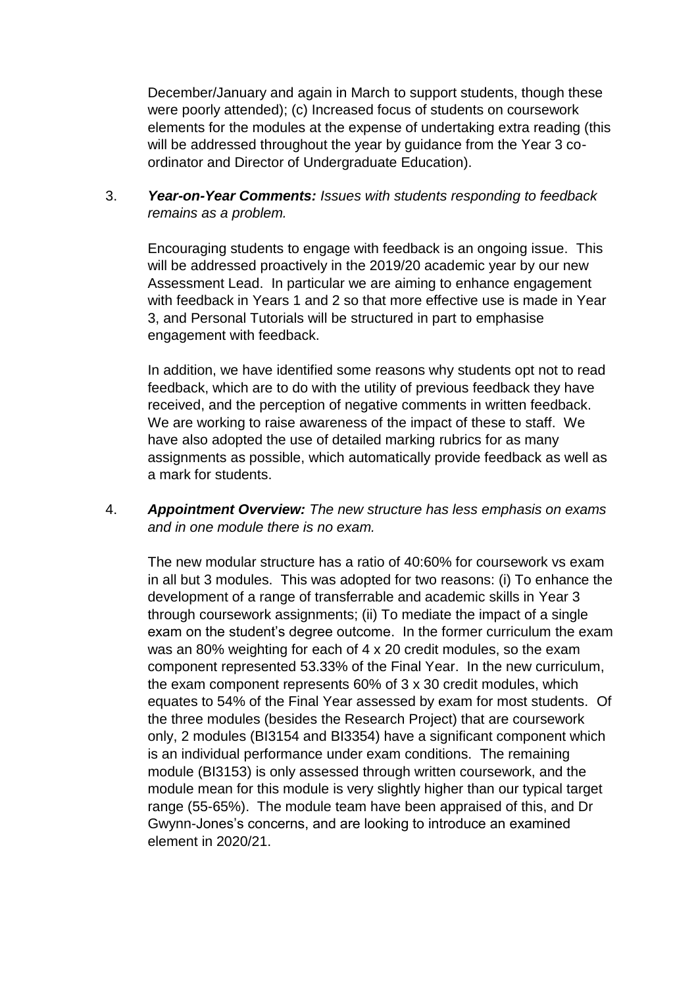December/January and again in March to support students, though these were poorly attended); (c) Increased focus of students on coursework elements for the modules at the expense of undertaking extra reading (this will be addressed throughout the year by guidance from the Year 3 coordinator and Director of Undergraduate Education).

3. *Year-on-Year Comments: Issues with students responding to feedback remains as a problem.*

Encouraging students to engage with feedback is an ongoing issue. This will be addressed proactively in the 2019/20 academic year by our new Assessment Lead. In particular we are aiming to enhance engagement with feedback in Years 1 and 2 so that more effective use is made in Year 3, and Personal Tutorials will be structured in part to emphasise engagement with feedback.

In addition, we have identified some reasons why students opt not to read feedback, which are to do with the utility of previous feedback they have received, and the perception of negative comments in written feedback. We are working to raise awareness of the impact of these to staff. We have also adopted the use of detailed marking rubrics for as many assignments as possible, which automatically provide feedback as well as a mark for students.

4. *Appointment Overview: The new structure has less emphasis on exams and in one module there is no exam.*

The new modular structure has a ratio of 40:60% for coursework vs exam in all but 3 modules. This was adopted for two reasons: (i) To enhance the development of a range of transferrable and academic skills in Year 3 through coursework assignments; (ii) To mediate the impact of a single exam on the student's degree outcome. In the former curriculum the exam was an 80% weighting for each of 4 x 20 credit modules, so the exam component represented 53.33% of the Final Year. In the new curriculum, the exam component represents 60% of 3 x 30 credit modules, which equates to 54% of the Final Year assessed by exam for most students. Of the three modules (besides the Research Project) that are coursework only, 2 modules (BI3154 and BI3354) have a significant component which is an individual performance under exam conditions. The remaining module (BI3153) is only assessed through written coursework, and the module mean for this module is very slightly higher than our typical target range (55-65%). The module team have been appraised of this, and Dr Gwynn-Jones's concerns, and are looking to introduce an examined element in 2020/21.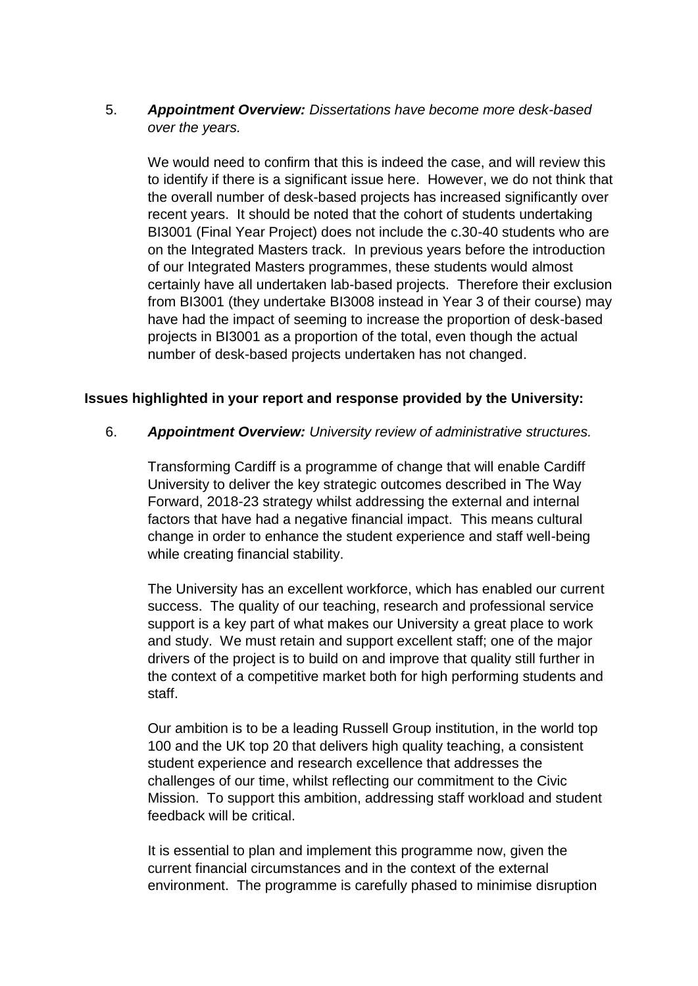# 5. *Appointment Overview: Dissertations have become more desk-based over the years.*

We would need to confirm that this is indeed the case, and will review this to identify if there is a significant issue here. However, we do not think that the overall number of desk-based projects has increased significantly over recent years. It should be noted that the cohort of students undertaking BI3001 (Final Year Project) does not include the c.30-40 students who are on the Integrated Masters track. In previous years before the introduction of our Integrated Masters programmes, these students would almost certainly have all undertaken lab-based projects. Therefore their exclusion from BI3001 (they undertake BI3008 instead in Year 3 of their course) may have had the impact of seeming to increase the proportion of desk-based projects in BI3001 as a proportion of the total, even though the actual number of desk-based projects undertaken has not changed.

# **Issues highlighted in your report and response provided by the University:**

## 6. *Appointment Overview: University review of administrative structures.*

Transforming Cardiff is a programme of change that will enable Cardiff University to deliver the key strategic outcomes described in The Way Forward, 2018-23 strategy whilst addressing the external and internal factors that have had a negative financial impact. This means cultural change in order to enhance the student experience and staff well-being while creating financial stability.

The University has an excellent workforce, which has enabled our current success. The quality of our teaching, research and professional service support is a key part of what makes our University a great place to work and study. We must retain and support excellent staff; one of the major drivers of the project is to build on and improve that quality still further in the context of a competitive market both for high performing students and staff.

Our ambition is to be a leading Russell Group institution, in the world top 100 and the UK top 20 that delivers high quality teaching, a consistent student experience and research excellence that addresses the challenges of our time, whilst reflecting our commitment to the Civic Mission. To support this ambition, addressing staff workload and student feedback will be critical.

It is essential to plan and implement this programme now, given the current financial circumstances and in the context of the external environment. The programme is carefully phased to minimise disruption